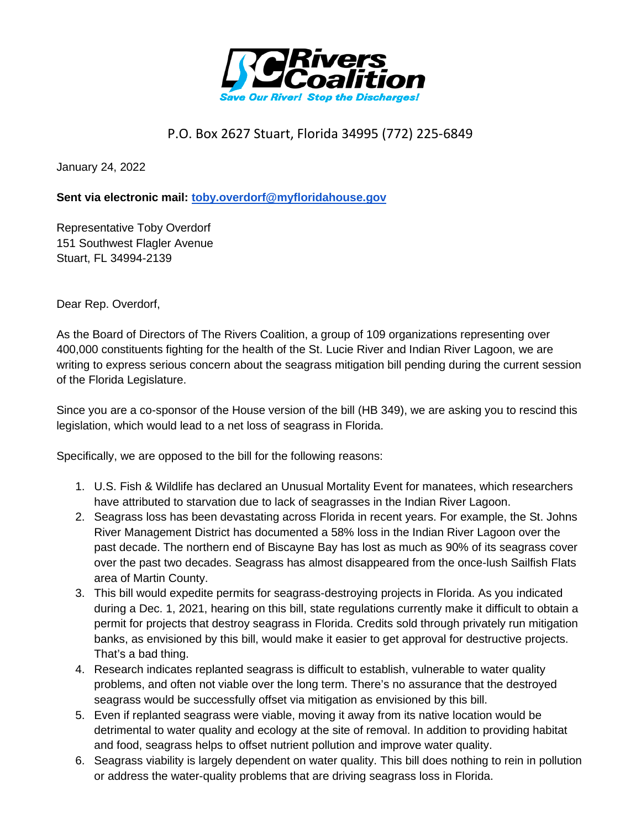

## P.O. Box 2627 Stuart, Florida 34995 (772) 225-6849

January 24, 2022

**Sent via electronic mail: [toby.overdorf@myfloridahouse.gov](mailto:toby.overdorf@myfloridahouse.gov)**

Representative Toby Overdorf 151 Southwest Flagler Avenue Stuart, FL 34994-2139

Dear Rep. Overdorf,

As the Board of Directors of The Rivers Coalition, a group of 109 organizations representing over 400,000 constituents fighting for the health of the St. Lucie River and Indian River Lagoon, we are writing to express serious concern about the seagrass mitigation bill pending during the current session of the Florida Legislature.

Since you are a co-sponsor of the House version of the bill (HB 349), we are asking you to rescind this legislation, which would lead to a net loss of seagrass in Florida.

Specifically, we are opposed to the bill for the following reasons:

- 1. U.S. Fish & Wildlife has declared an Unusual Mortality Event for manatees, which researchers have attributed to starvation due to lack of seagrasses in the Indian River Lagoon.
- 2. Seagrass loss has been devastating across Florida in recent years. For example, the St. Johns River Management District has documented a 58% loss in the Indian River Lagoon over the past decade. The northern end of Biscayne Bay has lost as much as 90% of its seagrass cover over the past two decades. Seagrass has almost disappeared from the once-lush Sailfish Flats area of Martin County.
- 3. This bill would expedite permits for seagrass-destroying projects in Florida. As you indicated during a Dec. 1, 2021, hearing on this bill, state regulations currently make it difficult to obtain a permit for projects that destroy seagrass in Florida. Credits sold through privately run mitigation banks, as envisioned by this bill, would make it easier to get approval for destructive projects. That's a bad thing.
- 4. Research indicates replanted seagrass is difficult to establish, vulnerable to water quality problems, and often not viable over the long term. There's no assurance that the destroyed seagrass would be successfully offset via mitigation as envisioned by this bill.
- 5. Even if replanted seagrass were viable, moving it away from its native location would be detrimental to water quality and ecology at the site of removal. In addition to providing habitat and food, seagrass helps to offset nutrient pollution and improve water quality.
- 6. Seagrass viability is largely dependent on water quality. This bill does nothing to rein in pollution or address the water-quality problems that are driving seagrass loss in Florida.